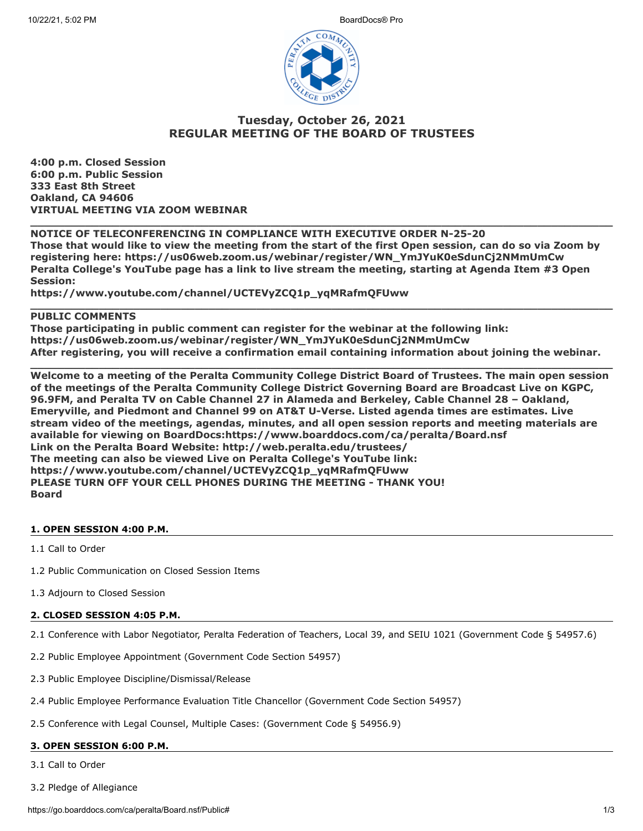

# **Tuesday, October 26, 2021 REGULAR MEETING OF THE BOARD OF TRUSTEES**

**4:00 p.m. Closed Session 6:00 p.m. Public Session 333 East 8th Street Oakland, CA 94606 VIRTUAL MEETING VIA ZOOM WEBINAR**

# **NOTICE OF TELECONFERENCING IN COMPLIANCE WITH EXECUTIVE ORDER N-25-20 Those that would like to view the meeting from the start of the first Open session, can do so via Zoom by registering here: https://us06web.zoom.us/webinar/register/WN\_YmJYuK0eSdunCj2NMmUmCw Peralta College's YouTube page has a link to live stream the meeting, starting at Agenda Item #3 Open Session:**

**\_\_\_\_\_\_\_\_\_\_\_\_\_\_\_\_\_\_\_\_\_\_\_\_\_\_\_\_\_\_\_\_\_\_\_\_\_\_\_\_\_\_\_\_\_\_\_\_\_\_\_\_\_\_\_\_\_\_\_\_\_\_\_\_\_\_\_\_\_\_\_\_\_\_\_\_\_\_\_\_\_\_\_\_\_**

**https://www.youtube.com/channel/UCTEVyZCQ1p\_yqMRafmQFUww**

# **PUBLIC COMMENTS**

**Those participating in public comment can register for the webinar at the following link: https://us06web.zoom.us/webinar/register/WN\_YmJYuK0eSdunCj2NMmUmCw After registering, you will receive a confirmation email containing information about joining the webinar.**

**\_\_\_\_\_\_\_\_\_\_\_\_\_\_\_\_\_\_\_\_\_\_\_\_\_\_\_\_\_\_\_\_\_\_\_\_\_\_\_\_\_\_\_\_\_\_\_\_\_\_\_\_\_\_\_\_\_\_\_\_\_\_\_\_\_\_\_\_\_\_\_\_\_\_\_\_\_\_\_\_\_\_\_\_\_**

**\_\_\_\_\_\_\_\_\_\_\_\_\_\_\_\_\_\_\_\_\_\_\_\_\_\_\_\_\_\_\_\_\_\_\_\_\_\_\_\_\_\_\_\_\_\_\_\_\_\_\_\_\_\_\_\_\_\_\_\_\_\_\_\_\_\_\_\_\_\_\_\_\_\_\_\_\_\_\_\_\_\_\_\_\_**

**Welcome to a meeting of the Peralta Community College District Board of Trustees. The main open session of the meetings of the Peralta Community College District Governing Board are Broadcast Live on KGPC, 96.9FM, and Peralta TV on Cable Channel 27 in Alameda and Berkeley, Cable Channel 28 – Oakland, Emeryville, and Piedmont and Channel 99 on AT&T U-Verse. Listed agenda times are estimates. Live stream video of the meetings, agendas, minutes, and all open session reports and meeting materials are available for viewing on BoardDocs:https://www.boarddocs.com/ca/peralta/Board.nsf Link on the Peralta Board Website: http://web.peralta.edu/trustees/ The meeting can also be viewed Live on Peralta College's YouTube link: https://www.youtube.com/channel/UCTEVyZCQ1p\_yqMRafmQFUww PLEASE TURN OFF YOUR CELL PHONES DURING THE MEETING - THANK YOU! Board**

# **1. OPEN SESSION 4:00 P.M.**

1.1 Call to Order

- 1.2 Public Communication on Closed Session Items
- 1.3 Adjourn to Closed Session

# **2. CLOSED SESSION 4:05 P.M.**

- 2.1 Conference with Labor Negotiator, Peralta Federation of Teachers, Local 39, and SEIU 1021 (Government Code § 54957.6)
- 2.2 Public Employee Appointment (Government Code Section 54957)
- 2.3 Public Employee Discipline/Dismissal/Release
- 2.4 Public Employee Performance Evaluation Title Chancellor (Government Code Section 54957)
- 2.5 Conference with Legal Counsel, Multiple Cases: (Government Code § 54956.9)

# **3. OPEN SESSION 6:00 P.M.**

3.1 Call to Order

3.2 Pledge of Allegiance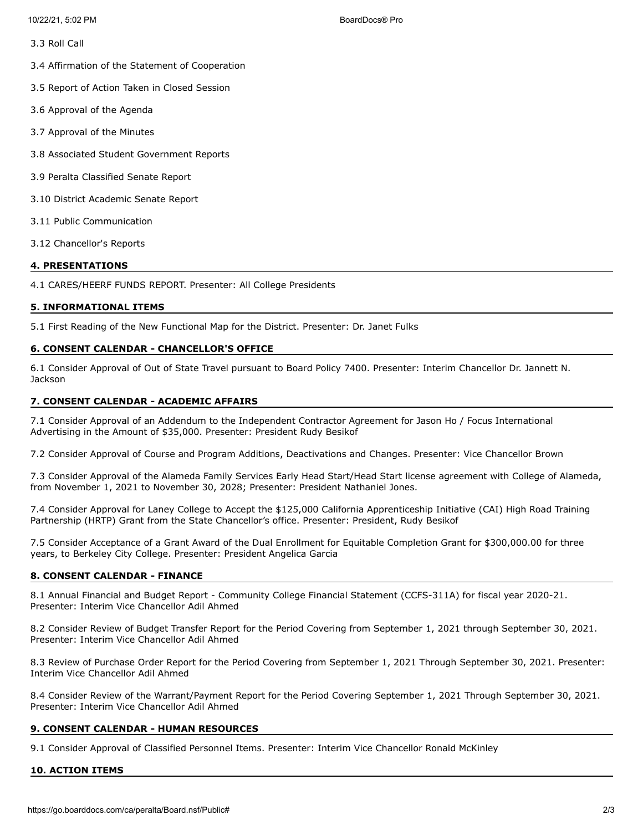- 3.3 Roll Call
- 3.4 Affirmation of the Statement of Cooperation
- 3.5 Report of Action Taken in Closed Session
- 3.6 Approval of the Agenda
- 3.7 Approval of the Minutes
- 3.8 Associated Student Government Reports
- 3.9 Peralta Classified Senate Report
- 3.10 District Academic Senate Report
- 3.11 Public Communication
- 3.12 Chancellor's Reports

### **4. PRESENTATIONS**

4.1 CARES/HEERF FUNDS REPORT. Presenter: All College Presidents

#### **5. INFORMATIONAL ITEMS**

5.1 First Reading of the New Functional Map for the District. Presenter: Dr. Janet Fulks

### **6. CONSENT CALENDAR - CHANCELLOR'S OFFICE**

6.1 Consider Approval of Out of State Travel pursuant to Board Policy 7400. Presenter: Interim Chancellor Dr. Jannett N. **Jackson** 

### **7. CONSENT CALENDAR - ACADEMIC AFFAIRS**

7.1 Consider Approval of an Addendum to the Independent Contractor Agreement for Jason Ho / Focus International Advertising in the Amount of \$35,000. Presenter: President Rudy Besikof

7.2 Consider Approval of Course and Program Additions, Deactivations and Changes. Presenter: Vice Chancellor Brown

7.3 Consider Approval of the Alameda Family Services Early Head Start/Head Start license agreement with College of Alameda, from November 1, 2021 to November 30, 2028; Presenter: President Nathaniel Jones.

7.4 Consider Approval for Laney College to Accept the \$125,000 California Apprenticeship Initiative (CAI) High Road Training Partnership (HRTP) Grant from the State Chancellor's office. Presenter: President, Rudy Besikof

7.5 Consider Acceptance of a Grant Award of the Dual Enrollment for Equitable Completion Grant for \$300,000.00 for three years, to Berkeley City College. Presenter: President Angelica Garcia

### **8. CONSENT CALENDAR - FINANCE**

8.1 Annual Financial and Budget Report - Community College Financial Statement (CCFS-311A) for fiscal year 2020-21. Presenter: Interim Vice Chancellor Adil Ahmed

8.2 Consider Review of Budget Transfer Report for the Period Covering from September 1, 2021 through September 30, 2021. Presenter: Interim Vice Chancellor Adil Ahmed

8.3 Review of Purchase Order Report for the Period Covering from September 1, 2021 Through September 30, 2021. Presenter: Interim Vice Chancellor Adil Ahmed

8.4 Consider Review of the Warrant/Payment Report for the Period Covering September 1, 2021 Through September 30, 2021. Presenter: Interim Vice Chancellor Adil Ahmed

### **9. CONSENT CALENDAR - HUMAN RESOURCES**

9.1 Consider Approval of Classified Personnel Items. Presenter: Interim Vice Chancellor Ronald McKinley

#### **10. ACTION ITEMS**